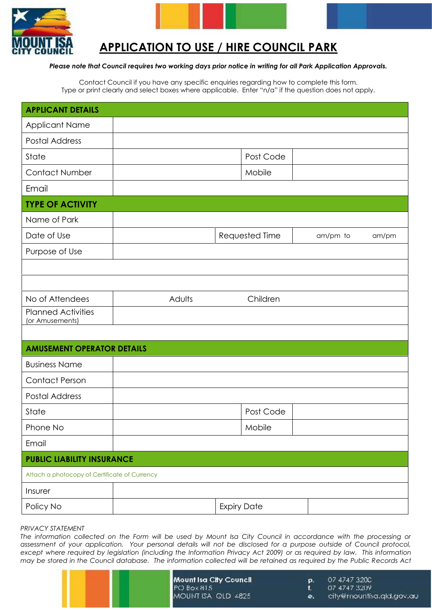

# **APPLICATION TO USE / HIRE COUNCIL PARK**

### *Please note that Council requires two working days prior notice in writing for all Park Application Approvals.*

Contact Council if you have any specific enquiries regarding how to complete this form. Type or print clearly and select boxes where applicable. Enter "n/a" if the question does not apply.

| <b>APPLICANT DETAILS</b>                      |                    |                |  |       |
|-----------------------------------------------|--------------------|----------------|--|-------|
| Applicant Name                                |                    |                |  |       |
| <b>Postal Address</b>                         |                    |                |  |       |
| State                                         | Post Code          |                |  |       |
| <b>Contact Number</b>                         | Mobile             |                |  |       |
| Email                                         |                    |                |  |       |
| <b>TYPE OF ACTIVITY</b>                       |                    |                |  |       |
| Name of Park                                  |                    |                |  |       |
| Date of Use                                   |                    | Requested Time |  | am/pm |
| Purpose of Use                                |                    |                |  |       |
|                                               |                    |                |  |       |
|                                               |                    |                |  |       |
| No of Attendees                               | Adults             | Children       |  |       |
| <b>Planned Activities</b><br>(or Amusements)  |                    |                |  |       |
|                                               |                    |                |  |       |
| <b>AMUSEMENT OPERATOR DETAILS</b>             |                    |                |  |       |
| <b>Business Name</b>                          |                    |                |  |       |
| <b>Contact Person</b>                         |                    |                |  |       |
| <b>Postal Address</b>                         |                    |                |  |       |
| State                                         |                    | Post Code      |  |       |
| Phone No                                      |                    | Mobile         |  |       |
| Email                                         |                    |                |  |       |
| <b>PUBLIC LIABILITY INSURANCE</b>             |                    |                |  |       |
| Attach a photocopy of Certificate of Currency |                    |                |  |       |
| Insurer                                       |                    |                |  |       |
| Policy No                                     | <b>Expiry Date</b> |                |  |       |
|                                               |                    |                |  |       |

## *PRIVACY STATEMENT*

*The information collected on the Form will be used by Mount Isa City Council in accordance with the processing or assessment of your application. Your personal details will not be disclosed for a purpose outside of Council protocol, except where required by legislation (including the Information Privacy Act 2009) or as required by law. This information may be stored in the Council database. The information collected will be retained as required by the Public Records Act*

| Mount Isa City Council | D. | 07 4747 3200             |
|------------------------|----|--------------------------|
| $PCJ$ Box $815$        |    | 07 4747 3209             |
| MOUNT ISA QLD 4825     | e. | city@mountisa.qld.gov.au |